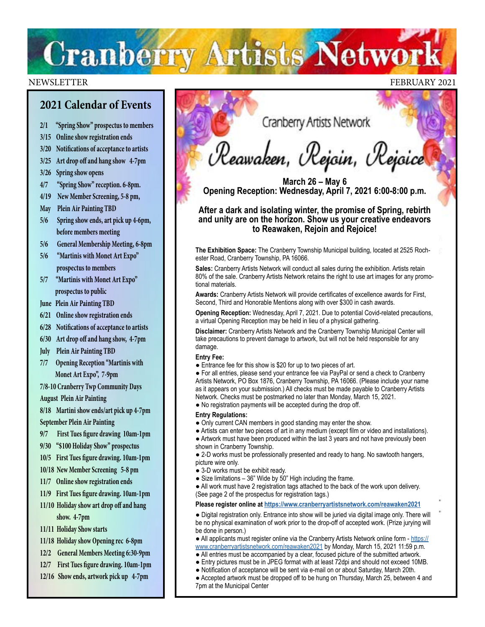# **Cranberry Artists Network**

### NEWSLETTER FEBRUARY 2021

### **2021 Calendar of Events**

- **2/1 "Spring Show" prospectus to members**
- **3/15 Online show registration ends**
- **3/20 Notifications of acceptance to artists**
- **3/25 Art drop off and hang show 4-7pm**
- **3/26 Spring show opens**
- **4/7 "Spring Show" reception. 6-8pm.**
- **4/19 New Member Screening, 5-8 pm,**
- **May Plein Air Painting TBD**
- **5/6 Spring show ends, art pick up 4-6pm, before members meeting**
- **5/6 General Membership Meeting, 6-8pm**
- **5/6 "Martinis with Monet Art Expo" prospectus to members**
- **5/7 "Martinis with Monet Art Expo" prospectus to public**

**June Plein Air Painting TBD**

- **6/21 Online show registration ends**
- **6/28 Notifications of acceptance to artists**
- **6/30 Art drop off and hang show, 4-7pm**
- **July Plein Air Painting TBD**
- **7/7 Opening Reception "Martinis with Monet Art Expo", 7-9pm**
- **7/8-10 Cranberry Twp Community Days August Plein Air Painting**
- **8/18 Martini show ends/art pick up 4-7pm September Plein Air Painting**
- **9/7 First Tues figure drawing 10am-1pm**
- **9/30 "\$100 Holiday Show" prospectus**
- **10/5 First Tues figure drawing. 10am-1pm**
- **10/18 New Member Screening 5-8 pm**
- **11/7 Online show registration ends**
- **11/9 First Tues figure drawing. 10am-1pm**
- **11/10 Holiday show art drop off and hang show. 4-7pm**
- **11/11 Holiday Show starts**
- **11/18 Holiday show Opening rec 6-8pm**
- **12/2 General Members Meeting 6:30-9pm**
- **12/7 First Tues figure drawing. 10am-1pm**
- **12/16 Show ends, artwork pick up 4-7pm**

Cranberry Artists Network

Reawaken, Rejoin, Rejoice

**March 26 – May 6 Opening Reception: Wednesday, April 7, 2021 6:00-8:00 p.m.**

**After a dark and isolating winter, the promise of Spring, rebirth and unity are on the horizon. Show us your creative endeavors to Reawaken, Rejoin and Rejoice!**

**The Exhibition Space:** The Cranberry Township Municipal building, located at 2525 Rochester Road, Cranberry Township, PA 16066.

**Sales:** Cranberry Artists Network will conduct all sales during the exhibition. Artists retain 80% of the sale. Cranberry Artists Network retains the right to use art images for any promotional materials.

**Awards:** Cranberry Artists Network will provide certificates of excellence awards for First, Second, Third and Honorable Mentions along with over \$300 in cash awards.

**Opening Reception:** Wednesday, April 7, 2021. Due to potential Covid-related precautions, a virtual Opening Reception may be held in lieu of a physical gathering.

**Disclaimer:** Cranberry Artists Network and the Cranberry Township Municipal Center will take precautions to prevent damage to artwork, but will not be held responsible for any damage.

#### **Entry Fee:**

● Entrance fee for this show is \$20 for up to two pieces of art.

● For all entries, please send your entrance fee via PayPal or send a check to Cranberry Artists Network, PO Box 1876, Cranberry Township, PA 16066. (Please include your name as it appears on your submission.) All checks must be made payable to Cranberry Artists Network. Checks must be postmarked no later than Monday, March 15, 2021.

● No registration payments will be accepted during the drop off.

- **Entry Regulations:**
- Only current CAN members in good standing may enter the show.
- Artists can enter two pieces of art in any medium (except film or video and installations).

• Artwork must have been produced within the last 3 years and not have previously been shown in Cranberry Township.

● 2-D works must be professionally presented and ready to hang. No sawtooth hangers, picture wire only.

- 3-D works must be exhibit ready.
- $\bullet$  Size limitations 36" Wide by 50" High including the frame.
- All work must have 2 registration tags attached to the back of the work upon delivery. (See page 2 of the prospectus for registration tags.)

#### **Please register online at <https://www.cranberryartistsnetwork.com/reawaken2021>**

● Digital registration only. Entrance into show will be juried via digital image only. There will be no physical examination of work prior to the drop-off of accepted work. (Prize jurying will be done in person.)

• All applicants must register online via the Cranberry Artists Network online form - [https://](https://www.cranberryartistsnetwork.com/reawaken2021) [www.cranberryartistsnetwork.com/reawaken2021](https://www.cranberryartistsnetwork.com/reawaken2021) by Monday, March 15, 2021 11:59 p.m.

- All entries must be accompanied by a clear, focused picture of the submitted artwork.
- Entry pictures must be in JPEG format with at least 72dpi and should not exceed 10MB.
- Notification of acceptance will be sent via e-mail on or about Saturday, March 20th.
- Accepted artwork must be dropped off to be hung on Thursday, March 25, between 4 and 7pm at the Municipal Center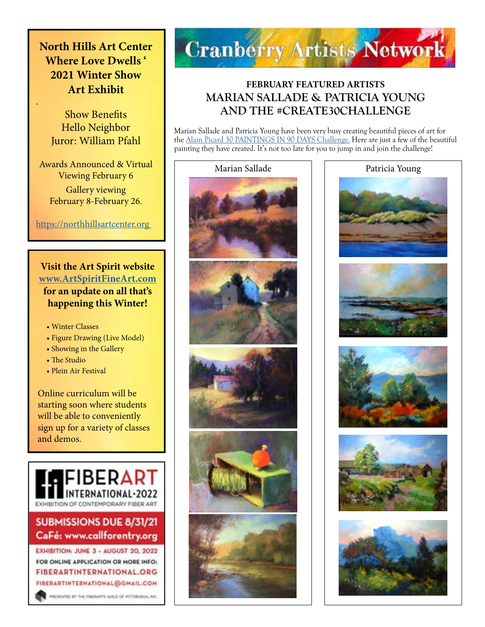# **North Hills Art Center Where Love Dwells ' 2021 Winter Show Art Exhibit**

Show Benefits Hello Neighbor Juror: William Pfahl

.

Awards Announced & Virtual Viewing February 6 Gallery viewing February 8-February 26.

### <https://northhillsartcenter.org>

### **Visit the Art Spirit website [www.ArtSpiritFineArt.com](http://www.ArtSpiritFineArt.com) for an update on all that's happening this Winter!**

- Winter Classes
- Figure Drawing (Live Model)
- Showing in the Gallery
- The Studio
- Plein Air Festival

Online curriculum will be starting soon where students will be able to conveniently sign up for a variety of classes and demos.



## **SUBMISSIONS DUE 8/31/21** CaFé: www.callforentry.org

EXHIBITION: JUNE 3 - AUGUST 20, 2022 FOR ONLINE APPLICATION OR MORE INFO: **FIBERARTINTERNATIONAL.ORG** FIBERARTINTERNATIONAL@GMAIL.COM

PRESENTED BY THE FIBERARTS GULD OF PITTIBURGH, INC.



## **FEBRUARY FEATURED ARTISTS MARIAN SALLADE & PATRICIA YOUNG AND THE #CREATE30CHALLENGE**

Marian Sallade and Patricia Young have been very busy creating beautiful pieces of art for the [Alain Picard 30 PAINTINGS IN 90 DAYS Challenge.](https://www.picardstudio.com/blog) Here are just a few of the beautiful painting they have created. It's not too late for you to jump in and join the challenge!





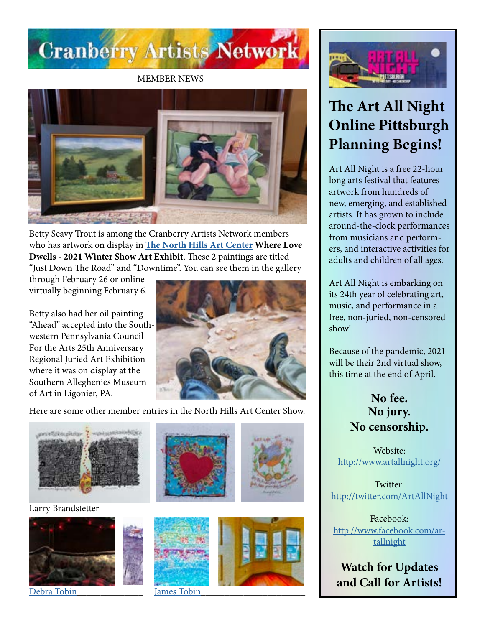

MEMBER NEWS



Betty Seavy Trout is among the Cranberry Artists Network members who has artwork on display in **[The North Hills Art Center](https://northhillsartcenter.org) Where Love Dwells - 2021 Winter Show Art Exhibit**. These 2 paintings are titled "Just Down The Road" and "Downtime". You can see them in the gallery

through February 26 or online virtually beginning February 6.

Betty also had her oil painting "Ahead" accepted into the Southwestern Pennsylvania Council For the Arts 25th Anniversary Regional Juried Art Exhibition where it was on display at the Southern Alleghenies Museum of Art in Ligonier, PA.



Here are some other member entries in the North Hills Art Center Show.



Larry Brandstetter\_\_\_\_\_\_\_\_\_\_\_\_\_\_\_\_\_\_\_\_\_\_\_\_\_\_\_\_\_\_\_\_\_\_\_\_\_\_\_\_\_\_\_



[Debra Tobin](http://www.debratobinart.com) **Iames Tobin** 







# **The Art All Night Online Pittsburgh Planning Begins!**

Art All Night is a free 22-hour long arts festival that features artwork from hundreds of new, emerging, and established artists. It has grown to include around-the-clock performances from musicians and performers, and interactive activities for adults and children of all ages.

Art All Night is embarking on its 24th year of celebrating art, music, and performance in a free, non-juried, non-censored show!

Because of the pandemic, 2021 will be their 2nd virtual show, this time at the end of April.

> **No fee. No jury. No censorship.**

Website: <http://www.artallnight.org/>

Twitter: <http://twitter.com/ArtAllNight>

Facebook: [http://www.facebook.com/ar](http://www.facebook.com/artallnight)[tallnight](http://www.facebook.com/artallnight)

**Watch for Updates and Call for Artists!**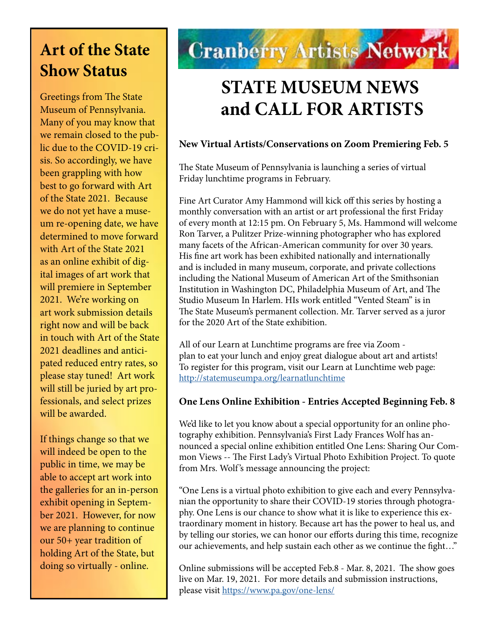# **Art of the State Show Status**

Greetings from The State Museum of Pennsylvania. Many of you may know that we remain closed to the public due to the COVID-19 crisis. So accordingly, we have been grappling with how best to go forward with Art of the State 2021. Because we do not yet have a museum re-opening date, we have determined to move forward with Art of the State 2021 as an online exhibit of digital images of art work that will premiere in September 2021. We're working on art work submission details right now and will be back in touch with Art of the State 2021 deadlines and anticipated reduced entry rates, so please stay tuned! Art work will still be juried by art professionals, and select prizes will be awarded.

If things change so that we will indeed be open to the public in time, we may be able to accept art work into the galleries for an in-person exhibit opening in September 2021. However, for now we are planning to continue our 50+ year tradition of holding Art of the State, but doing so virtually - online.

# **Cranberry Artists Network**

# **STATE MUSEUM NEWS and CALL FOR ARTISTS**

### **New Virtual Artists/Conservations on Zoom Premiering Feb. 5**

The State Museum of Pennsylvania is launching a series of virtual Friday lunchtime programs in February.

Fine Art Curator Amy Hammond will kick off this series by hosting a monthly conversation with an artist or art professional the first Friday of every month at 12:15 pm. On February 5, Ms. Hammond will welcome Ron Tarver, a Pulitzer Prize-winning photographer who has explored many facets of the African-American community for over 30 years. His fine art work has been exhibited nationally and internationally and is included in many museum, corporate, and private collections including the National Museum of American Art of the Smithsonian Institution in Washington DC, Philadelphia Museum of Art, and The Studio Museum In Harlem. HIs work entitled "Vented Steam" is in The State Museum's permanent collection. Mr. Tarver served as a juror for the 2020 Art of the State exhibition.

All of our Learn at Lunchtime programs are free via Zoom plan to eat your lunch and enjoy great dialogue about art and artists! To register for this program, visit our Learn at Lunchtime web page: <http://statemuseumpa.org/learnatlunchtime>

### **One Lens Online Exhibition - Entries Accepted Beginning Feb. 8**

We'd like to let you know about a special opportunity for an online photography exhibition. Pennsylvania's First Lady Frances Wolf has announced a special online exhibition entitled One Lens: Sharing Our Common Views -- The First Lady's Virtual Photo Exhibition Project. To quote from Mrs. Wolf 's message announcing the project:

"One Lens is a virtual photo exhibition to give each and every Pennsylvanian the opportunity to share their COVID-19 stories through photography. One Lens is our chance to show what it is like to experience this extraordinary moment in history. Because art has the power to heal us, and by telling our stories, we can honor our efforts during this time, recognize our achievements, and help sustain each other as we continue the fight…"

Online submissions will be accepted Feb.8 - Mar. 8, 2021. The show goes live on Mar. 19, 2021. For more details and submission instructions, please visit <https://www.pa.gov/one-lens/>